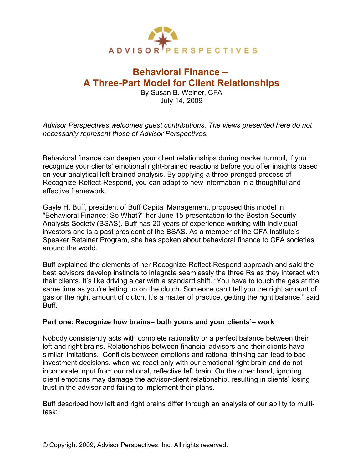

# **Behavioral Finance – A Three-Part Model for Client Relationships**

By Susan B. Weiner, CFA July 14, 2009

*Advisor Perspectives welcomes guest contributions. The views presented here do not necessarily represent those of Advisor Perspectives.*

Behavioral finance can deepen your client relationships during market turmoil, if you recognize your clients' emotional right-brained reactions before you offer insights based on your analytical left-brained analysis. By applying a three-pronged process of Recognize-Reflect-Respond, you can adapt to new information in a thoughtful and effective framework.

Gayle H. Buff, president of Buff Capital Management, proposed this model in "Behavioral Finance: So What?" her June 15 presentation to the Boston Security Analysts Society (BSAS). Buff has 20 years of experience working with individual investors and is a past president of the BSAS. As a member of the CFA Institute's Speaker Retainer Program, she has spoken about behavioral finance to CFA societies around the world.

Buff explained the elements of her Recognize-Reflect-Respond approach and said the best advisors develop instincts to integrate seamlessly the three Rs as they interact with their clients. It's like driving a car with a standard shift. "You have to touch the gas at the same time as you're letting up on the clutch. Someone can't tell you the right amount of gas or the right amount of clutch. It's a matter of practice, getting the right balance," said Buff.

## **Part one: Recognize how brains– both yours and your clients'– work**

Nobody consistently acts with complete rationality or a perfect balance between their left and right brains. Relationships between financial advisors and their clients have similar limitations. Conflicts between emotions and rational thinking can lead to bad investment decisions, when we react only with our emotional right brain and do not incorporate input from our rational, reflective left brain. On the other hand, ignoring client emotions may damage the advisor-client relationship, resulting in clients' losing trust in the advisor and failing to implement their plans.

Buff described how left and right brains differ through an analysis of our ability to multitask: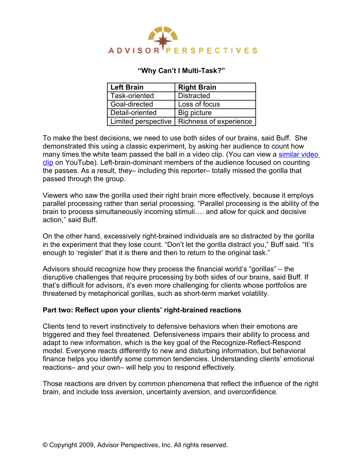

# **"Why Can't I Multi-Task?"**

| <b>Left Brain</b> | <b>Right Brain</b>                           |
|-------------------|----------------------------------------------|
| Task-oriented     | <b>Distracted</b>                            |
| Goal-directed     | Loss of focus                                |
| Detail-oriented   | Big picture                                  |
|                   | Limited perspective   Richness of experience |

To make the best decisions, we need to use both sides of our brains, said Buff. She demonstrated this using a classic experiment, by asking her audience to count how many times the white team passed the ball in a video clip. (You can view a [similar video](http://www.youtube.com/watch?v=GchfVy6hgVA) [clip](http://www.youtube.com/watch?v=GchfVy6hgVA) on YouTube). Left-brain-dominant members of the audience focused on counting the passes. As a result, they– including this reporter– totally missed the gorilla that passed through the group.

Viewers who saw the gorilla used their right brain more effectively, because it employs parallel processing rather than serial processing. "Parallel processing is the ability of the brain to process simultaneously incoming stimuli…. and allow for quick and decisive action," said Buff.

On the other hand, excessively right-brained individuals are so distracted by the gorilla in the experiment that they lose count. "Don't let the gorilla distract you," Buff said. "It's enough to 'register' that it is there and then to return to the original task."

Advisors should recognize how they process the financial world's "gorillas" – the disruptive challenges that require processing by both sides of our brains, said Buff. If that's difficult for advisors, it's even more challenging for clients whose portfolios are threatened by metaphorical gorillas, such as short-term market volatility.

## **Part two: Reflect upon your clients' right-brained reactions**

Clients tend to revert instinctively to defensive behaviors when their emotions are triggered and they feel threatened. Defensiveness impairs their ability to process and adapt to new information, which is the key goal of the Recognize-Reflect-Respond model. Everyone reacts differently to new and disturbing information, but behavioral finance helps you identify some common tendencies. Understanding clients' emotional reactions– and your own– will help you to respond effectively.

Those reactions are driven by common phenomena that reflect the influence of the right brain, and include loss aversion, uncertainty aversion, and overconfidence.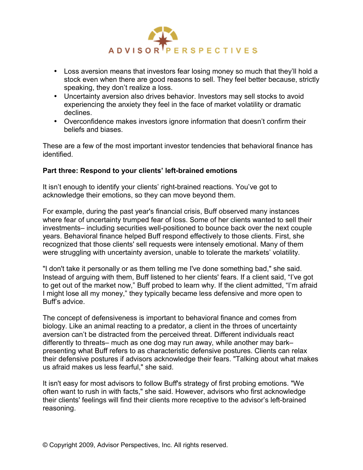

- Loss aversion means that investors fear losing money so much that they'll hold a stock even when there are good reasons to sell. They feel better because, strictly speaking, they don't realize a loss.
- Uncertainty aversion also drives behavior. Investors may sell stocks to avoid experiencing the anxiety they feel in the face of market volatility or dramatic declines.
- Overconfidence makes investors ignore information that doesn't confirm their beliefs and biases.

These are a few of the most important investor tendencies that behavioral finance has identified.

# **Part three: Respond to your clients' left-brained emotions**

It isn't enough to identify your clients' right-brained reactions. You've got to acknowledge their emotions, so they can move beyond them.

For example, during the past year's financial crisis, Buff observed many instances where fear of uncertainty trumped fear of loss. Some of her clients wanted to sell their investments– including securities well-positioned to bounce back over the next couple years. Behavioral finance helped Buff respond effectively to those clients. First, she recognized that those clients' sell requests were intensely emotional. Many of them were struggling with uncertainty aversion, unable to tolerate the markets' volatility.

"I don't take it personally or as them telling me I've done something bad," she said. Instead of arguing with them, Buff listened to her clients' fears. If a client said, "I've got to get out of the market now," Buff probed to learn why. If the client admitted, "I'm afraid I might lose all my money," they typically became less defensive and more open to Buff's advice.

The concept of defensiveness is important to behavioral finance and comes from biology. Like an animal reacting to a predator, a client in the throes of uncertainty aversion can't be distracted from the perceived threat. Different individuals react differently to threats– much as one dog may run away, while another may bark– presenting what Buff refers to as characteristic defensive postures. Clients can relax their defensive postures if advisors acknowledge their fears. "Talking about what makes us afraid makes us less fearful," she said.

It isn't easy for most advisors to follow Buff's strategy of first probing emotions. "We often want to rush in with facts," she said. However, advisors who first acknowledge their clients' feelings will find their clients more receptive to the advisor's left-brained reasoning.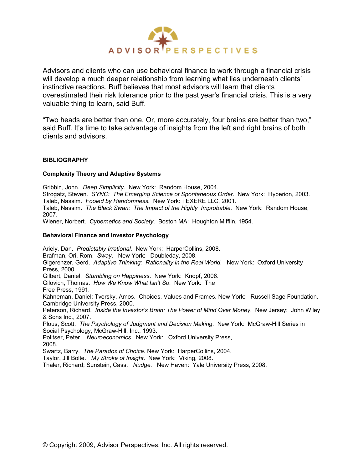

Advisors and clients who can use behavioral finance to work through a financial crisis will develop a much deeper relationship from learning what lies underneath clients' instinctive reactions. Buff believes that most advisors will learn that clients overestimated their risk tolerance prior to the past year's financial crisis. This is a very valuable thing to learn, said Buff.

"Two heads are better than one. Or, more accurately, four brains are better than two," said Buff. It's time to take advantage of insights from the left and right brains of both clients and advisors.

#### **BIBLIOGRAPHY**

#### **Complexity Theory and Adaptive Systems**

Gribbin, John. *Deep Simplicity*. New York: Random House, 2004.

Strogatz, Steven. SYNC: The Emerging Science of Spontaneous Order. New York: Hyperion, 2003. Taleb, Nassim. *Fooled by Randomness.* New York: TEXERE LLC, 2001.

Taleb, Nassim. *The Black Swan: The Impact of the Highly Improbable.* New York: Random House, 2007.

Wiener, Norbert. *Cybernetics and Society*. Boston MA: Houghton Mifflin, 1954.

#### **Behavioral Finance and Investor Psychology**

Ariely, Dan. *Predictably Irrational.* New York: HarperCollins, 2008. Brafman, Ori. Rom. *Sway*. New York: Doubleday, 2008. Gigerenzer, Gerd. *Adaptive Thinking: Rationality in the Real World.* New York: Oxford University Press, 2000. Gilbert, Daniel. *Stumbling on Happiness*. New York: Knopf, 2006. Gilovich, Thomas. *How We Know What Isn't So*. New York: The Free Press, 1991. Kahneman, Daniel; Tversky, Amos. Choices, Values and Frames. New York: Russell Sage Foundation. Cambridge University Press, 2000. Peterson, Richard. *Inside the Investor's Brain: The Power of Mind Over Money.* New Jersey: John Wiley & Sons Inc., 2007. Plous, Scott. *The Psychology of Judgment and Decision Making*. New York: McGraw-Hill Series in Social Psychology, McGraw-Hill, Inc., 1993. Politser, Peter. *Neuroeconomics*. New York: Oxford University Press, 2008. Swartz, Barry. *The Paradox of Choice*. New York: HarperCollins, 2004. Taylor, Jill Bolte. *My Stroke of Insight*. New York: Viking, 2008.

Thaler, Richard; Sunstein, Cass. *Nudge*. New Haven: Yale University Press, 2008.